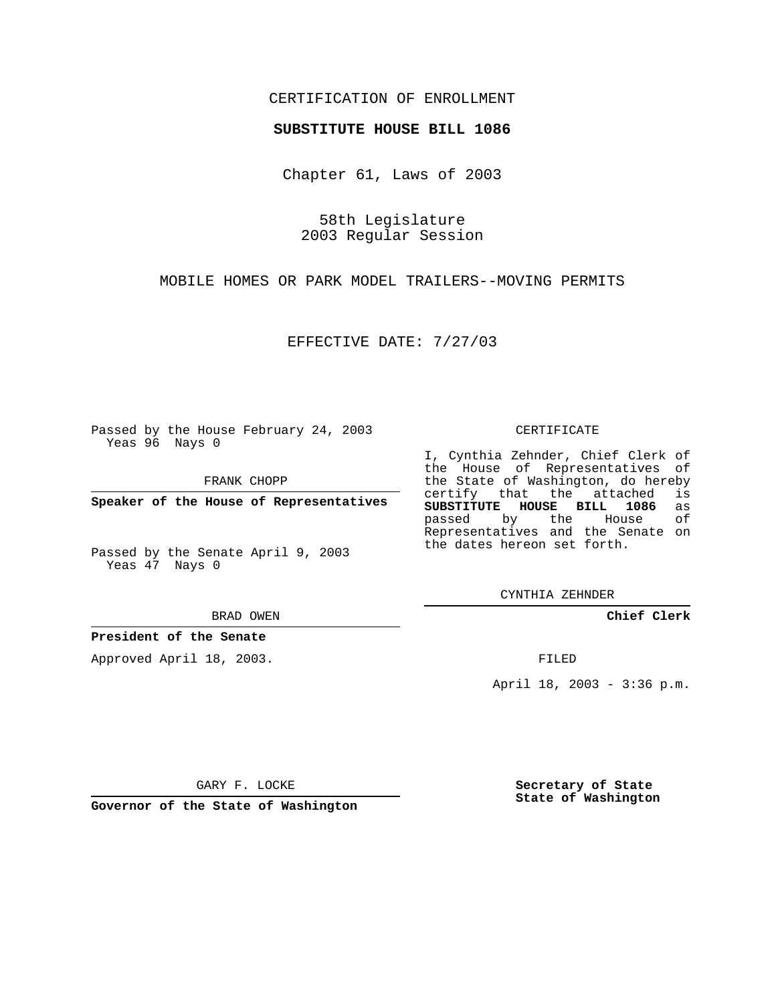## CERTIFICATION OF ENROLLMENT

#### **SUBSTITUTE HOUSE BILL 1086**

Chapter 61, Laws of 2003

58th Legislature 2003 Regular Session

MOBILE HOMES OR PARK MODEL TRAILERS--MOVING PERMITS

EFFECTIVE DATE: 7/27/03

Passed by the House February 24, 2003 Yeas 96 Nays 0

FRANK CHOPP

**Speaker of the House of Representatives**

Passed by the Senate April 9, 2003 Yeas 47 Nays 0

#### BRAD OWEN

## **President of the Senate**

Approved April 18, 2003.

#### CERTIFICATE

I, Cynthia Zehnder, Chief Clerk of the House of Representatives of the State of Washington, do hereby<br>certify that the attached is certify that the attached **SUBSTITUTE HOUSE BILL 1086** as passed by the Representatives and the Senate on the dates hereon set forth.

CYNTHIA ZEHNDER

**Chief Clerk**

FILED

April 18, 2003 - 3:36 p.m.

GARY F. LOCKE

**Governor of the State of Washington**

**Secretary of State State of Washington**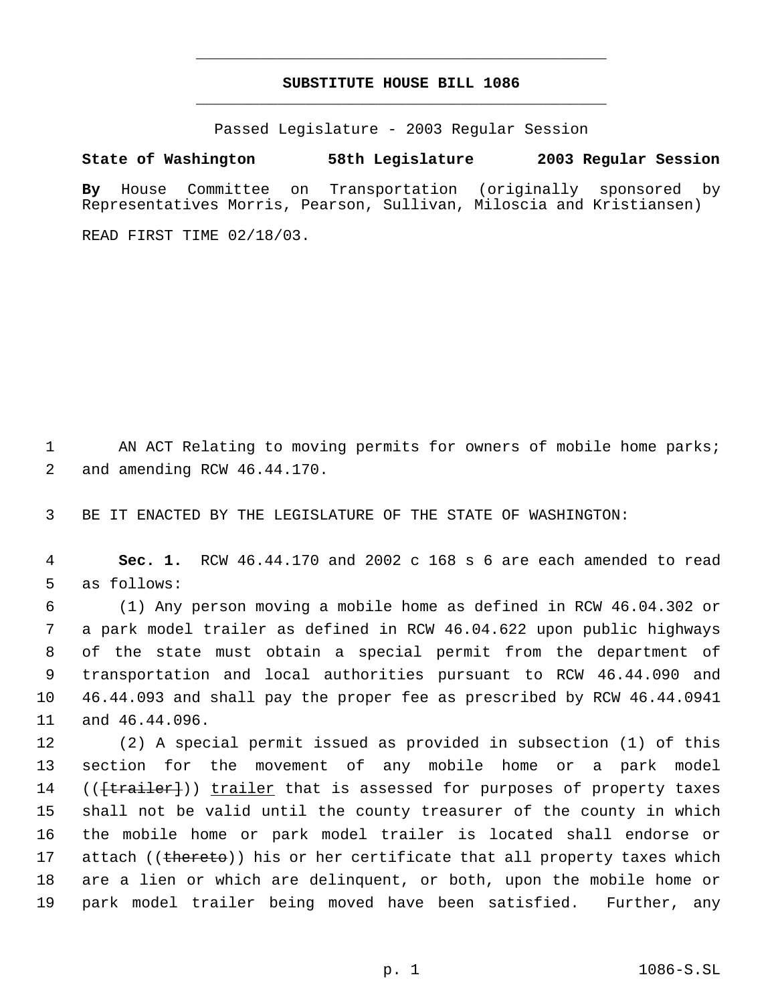# **SUBSTITUTE HOUSE BILL 1086** \_\_\_\_\_\_\_\_\_\_\_\_\_\_\_\_\_\_\_\_\_\_\_\_\_\_\_\_\_\_\_\_\_\_\_\_\_\_\_\_\_\_\_\_\_

\_\_\_\_\_\_\_\_\_\_\_\_\_\_\_\_\_\_\_\_\_\_\_\_\_\_\_\_\_\_\_\_\_\_\_\_\_\_\_\_\_\_\_\_\_

Passed Legislature - 2003 Regular Session

### **State of Washington 58th Legislature 2003 Regular Session**

**By** House Committee on Transportation (originally sponsored by Representatives Morris, Pearson, Sullivan, Miloscia and Kristiansen)

READ FIRST TIME 02/18/03.

1 AN ACT Relating to moving permits for owners of mobile home parks; 2 and amending RCW 46.44.170.

3 BE IT ENACTED BY THE LEGISLATURE OF THE STATE OF WASHINGTON:

 4 **Sec. 1.** RCW 46.44.170 and 2002 c 168 s 6 are each amended to read 5 as follows:

 (1) Any person moving a mobile home as defined in RCW 46.04.302 or a park model trailer as defined in RCW 46.04.622 upon public highways of the state must obtain a special permit from the department of transportation and local authorities pursuant to RCW 46.44.090 and 46.44.093 and shall pay the proper fee as prescribed by RCW 46.44.0941 and 46.44.096.

 (2) A special permit issued as provided in subsection (1) of this section for the movement of any mobile home or a park model 14 ((<del>[trailer]</del>)) trailer that is assessed for purposes of property taxes shall not be valid until the county treasurer of the county in which the mobile home or park model trailer is located shall endorse or 17 attach ((thereto)) his or her certificate that all property taxes which are a lien or which are delinquent, or both, upon the mobile home or park model trailer being moved have been satisfied. Further, any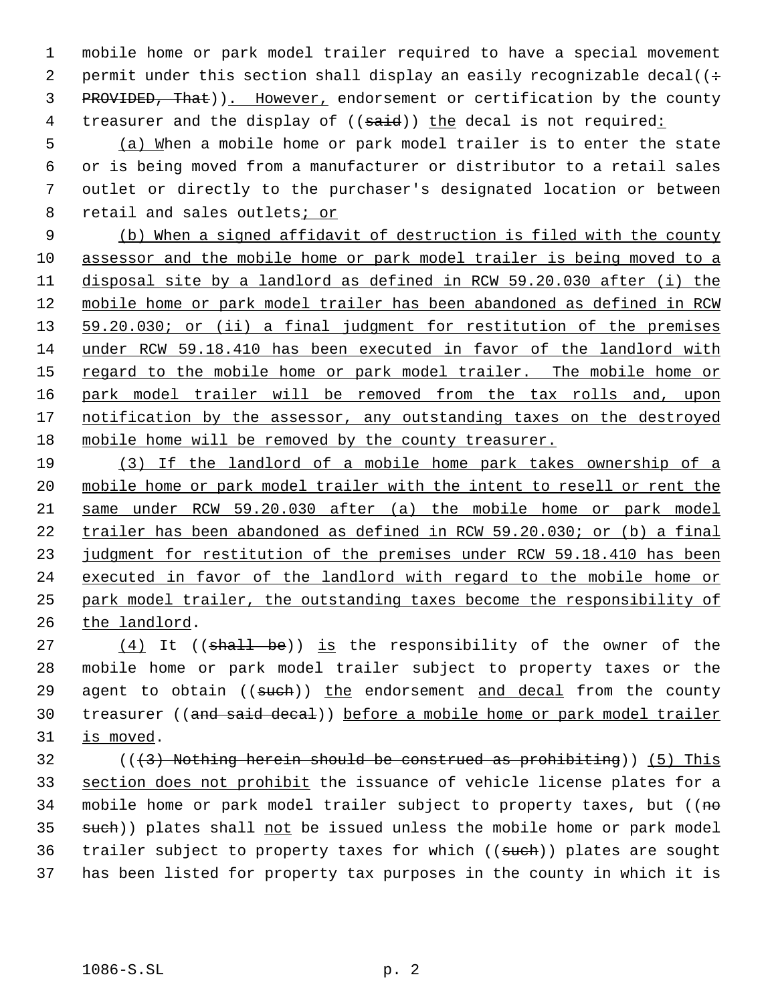mobile home or park model trailer required to have a special movement 2 permit under this section shall display an easily recognizable decal( $($ : 3 PROVIDED, That)). However, endorsement or certification by the county 4 treasurer and the display of ((said)) the decal is not required:

 (a) When a mobile home or park model trailer is to enter the state or is being moved from a manufacturer or distributor to a retail sales outlet or directly to the purchaser's designated location or between 8 retail and sales outlets; or

 (b) When a signed affidavit of destruction is filed with the county assessor and the mobile home or park model trailer is being moved to a disposal site by a landlord as defined in RCW 59.20.030 after (i) the mobile home or park model trailer has been abandoned as defined in RCW 13 59.20.030; or (ii) a final judgment for restitution of the premises under RCW 59.18.410 has been executed in favor of the landlord with 15 regard to the mobile home or park model trailer. The mobile home or park model trailer will be removed from the tax rolls and, upon 17 notification by the assessor, any outstanding taxes on the destroyed mobile home will be removed by the county treasurer.

 (3) If the landlord of a mobile home park takes ownership of a mobile home or park model trailer with the intent to resell or rent the same under RCW 59.20.030 after (a) the mobile home or park model trailer has been abandoned as defined in RCW 59.20.030; or (b) a final 23 judgment for restitution of the premises under RCW 59.18.410 has been executed in favor of the landlord with regard to the mobile home or park model trailer, the outstanding taxes become the responsibility of the landlord.

 $(4)$  It ((shall be)) is the responsibility of the owner of the mobile home or park model trailer subject to property taxes or the 29 agent to obtain  $((\text{such}) )$  the endorsement and decal from the county 30 treasurer ((and said decal)) before a mobile home or park model trailer is moved.

 (( $(3)$ ) Nothing herein should be construed as prohibiting)) (5) This 33 section does not prohibit the issuance of vehicle license plates for a 34 mobile home or park model trailer subject to property taxes, but ((no 35 such)) plates shall not be issued unless the mobile home or park model 36 trailer subject to property taxes for which ((such)) plates are sought has been listed for property tax purposes in the county in which it is